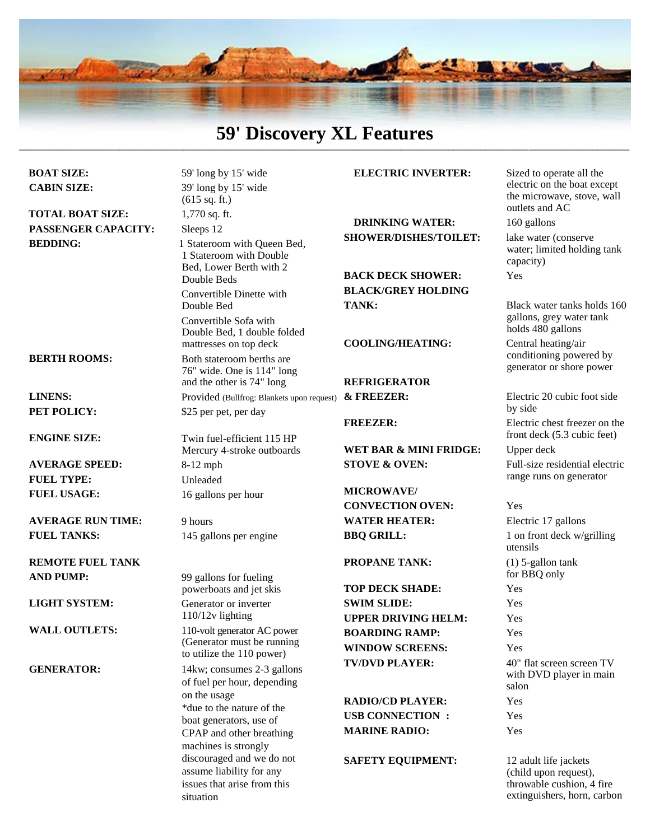

### **59' Discovery XL Features**  $\_$  , and the set of the set of the set of the set of the set of the set of the set of the set of the set of the set of the set of the set of the set of the set of the set of the set of the set of the set of the set of th

| <b>BOAT SIZE:</b>  |
|--------------------|
| <b>CABIN SIZE:</b> |

**TOTAL BOAT SIZE:** 1,770 sq. ft. **PASSENGER CAPACITY:** Sleeps 12

**BERTH ROOMS:**

**LINENS: PET POLICY:**

**ENGINE SIZE:**

**AVERAGE SPEED: FUEL TYPE: FUEL USAGE:**

**AVERAGE RUN TIME: FUEL TANKS:**

**REMOTE FUEL TANK AND PUMP:**

**LIGHT SYSTEM:**

**WALL OUTLETS:**

**GENERATOR:**

59' long by 15' wide 39' long by 15' wide (615 sq. ft.) **BEDDING:** 1 Stateroom with Queen Bed, 1 Stateroom with Double Bed, Lower Berth with 2 Double Beds Convertible Dinette with Double Bed Convertible Sofa with Double Bed, 1 double folded mattresses on top deck Both stateroom berths are 76" wide. One is 114" long and the other is 74" long Provided (Bullfrog: Blankets upon request) \$25 per pet, per day Twin fuel-efficient 115 HP Mercury 4-stroke outboards 8**-**12 mph Unleaded 16 gallons per hour 9 hours 145 gallons per engine 99 gallons for fueling powerboats and jet skis Generator or inverter 110/12v lighting 110-volt generator AC power (Generator must be running to utilize the 110 power) 14kw; consumes 2-3 gallons of fuel per hour, depending on the usage \*due to the nature of the boat generators, use of

> CPAP and other breathing machines is strongly discouraged and we do not assume liability for any issues that arise from this

situation

### **ELECTRIC INVERTER:** Sized to operate all the

**DRINKING WATER:** 160 gallons **SHOWER/DISHES/TOILET:** lake water (conserve

**BACK DECK SHOWER:** Yes **BLACK/GREY HOLDING TANK:** Black water tanks holds 160

### **COOLING/HEATING:** Central heating/air

# **REFRIGERATOR**

WET BAR & MINI FRIDGE: Upper deck **STOVE & OVEN:** Full-size residential electric

**MICROWAVE/ CONVECTION OVEN:** Yes **WATER HEATER:** Electric 17 gallons **BBQ GRILL:** 1 on front deck w/grilling

**TOP DECK SHADE:** Yes **SWIM SLIDE:** Yes **UPPER DRIVING HELM:** Yes **BOARDING RAMP:** Yes **WINDOW SCREENS:** Yes

**RADIO/CD PLAYER:** Yes **USB CONNECTION :** Yes **MARINE RADIO:** Yes

**SAFETY EQUIPMENT:** 12 adult life jackets

electric on the boat except the microwave, stove, wall outlets and AC

water; limited holding tank capacity)

gallons, grey water tank holds 480 gallons

conditioning powered by generator or shore power

**& FREEZER:** Electric 20 cubic foot side by side **FREEZER:** Electric chest freezer on the front deck (5.3 cubic feet) range runs on generator

utensils **PROPANE TANK:** (1) 5-gallon tank for BBQ only **TV/DVD PLAYER:** 40" flat screen screen TV with DVD player in main salon

> (child upon request), throwable cushion, 4 fire extinguishers, horn, carbon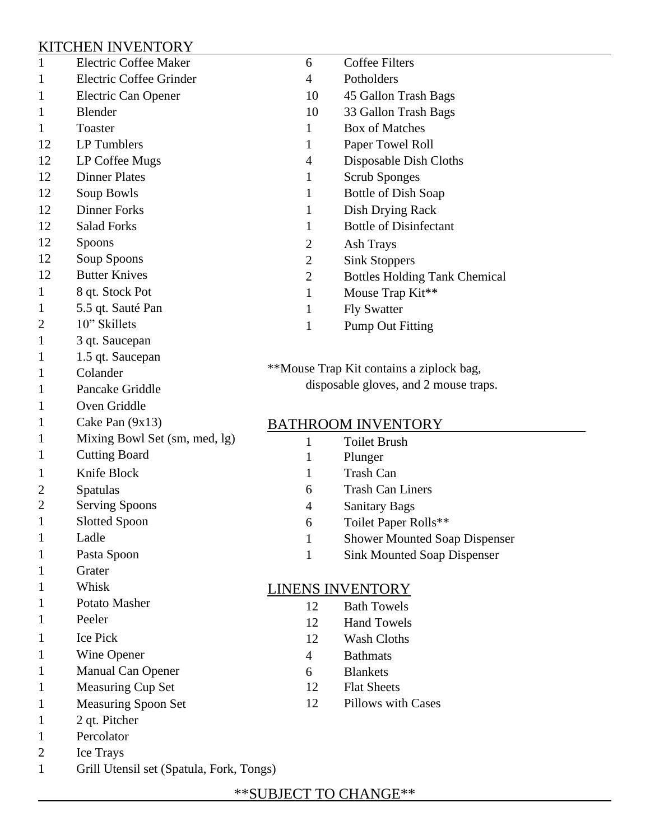# KITCHEN INVENTORY

| $\mathbf{1}$   | <b>Electric Coffee Maker</b>  | 6                                        | <b>Coffee Filters</b>                |  |
|----------------|-------------------------------|------------------------------------------|--------------------------------------|--|
| $\mathbf{1}$   | Electric Coffee Grinder       | 4                                        | Potholders                           |  |
| $\mathbf{1}$   | Electric Can Opener           | 10                                       | 45 Gallon Trash Bags                 |  |
| $\mathbf{1}$   | Blender                       | 10                                       | 33 Gallon Trash Bags                 |  |
| $\mathbf{1}$   | Toaster                       | $\mathbf{1}$                             | <b>Box of Matches</b>                |  |
| 12             | LP Tumblers                   | $\mathbf{1}$                             | Paper Towel Roll                     |  |
| 12             | LP Coffee Mugs                | 4                                        | Disposable Dish Cloths               |  |
| 12             | <b>Dinner Plates</b>          | $\mathbf{1}$                             | <b>Scrub Sponges</b>                 |  |
| 12             | Soup Bowls                    | $\mathbf{1}$                             | <b>Bottle of Dish Soap</b>           |  |
| 12             | <b>Dinner Forks</b>           | $\mathbf{1}$                             | Dish Drying Rack                     |  |
| 12             | <b>Salad Forks</b>            | 1                                        | <b>Bottle of Disinfectant</b>        |  |
| 12             | <b>Spoons</b>                 | 2                                        | Ash Trays                            |  |
| 12             | Soup Spoons                   | $\overline{2}$                           | <b>Sink Stoppers</b>                 |  |
| 12             | <b>Butter Knives</b>          | $\overline{2}$                           | <b>Bottles Holding Tank Chemical</b> |  |
| $\mathbf{1}$   | 8 qt. Stock Pot               | $\mathbf{1}$                             | Mouse Trap Kit**                     |  |
| $\mathbf{1}$   | 5.5 qt. Sauté Pan             | $\mathbf{1}$                             | <b>Fly Swatter</b>                   |  |
| 2              | 10" Skillets                  | $\mathbf{1}$                             | <b>Pump Out Fitting</b>              |  |
| $\mathbf{1}$   | 3 qt. Saucepan                |                                          |                                      |  |
| $\mathbf{1}$   | 1.5 qt. Saucepan              |                                          |                                      |  |
| $\mathbf{1}$   | Colander                      | **Mouse Trap Kit contains a ziplock bag, |                                      |  |
| $\mathbf{1}$   | Pancake Griddle               | disposable gloves, and 2 mouse traps.    |                                      |  |
| $\mathbf{1}$   | Oven Griddle                  |                                          |                                      |  |
| $\mathbf{1}$   | Cake Pan $(9x13)$             | <b>BATHROOM INVENTORY</b>                |                                      |  |
| $\mathbf{1}$   | Mixing Bowl Set (sm, med, lg) | 1                                        | <b>Toilet Brush</b>                  |  |
| $\mathbf{1}$   | <b>Cutting Board</b>          | 1                                        | Plunger                              |  |
| $\mathbf{1}$   | Knife Block                   | 1                                        | <b>Trash Can</b>                     |  |
| 2              | Spatulas                      | 6                                        | <b>Trash Can Liners</b>              |  |
| 2              | <b>Serving Spoons</b>         | 4                                        | <b>Sanitary Bags</b>                 |  |
| $\mathbf{1}$   | <b>Slotted Spoon</b>          | 6                                        | Toilet Paper Rolls**                 |  |
| $\mathbf{1}$   | Ladle                         | 1                                        | <b>Shower Mounted Soap Dispenser</b> |  |
| $\mathbf{1}$   | Pasta Spoon                   | 1                                        | <b>Sink Mounted Soap Dispenser</b>   |  |
| $\mathbf{1}$   | Grater                        |                                          |                                      |  |
| $\mathbf{1}$   | Whisk                         | <b>LINENS INVENTORY</b>                  |                                      |  |
| $\mathbf{1}$   | Potato Masher                 | 12                                       | <b>Bath Towels</b>                   |  |
| $\mathbf{1}$   | Peeler                        | 12                                       | <b>Hand Towels</b>                   |  |
| $\mathbf{1}$   | <b>Ice Pick</b>               | 12                                       | Wash Cloths                          |  |
| $\mathbf{1}$   | Wine Opener                   | $\overline{4}$                           | <b>Bathmats</b>                      |  |
| $\mathbf{1}$   | Manual Can Opener             | 6                                        | <b>Blankets</b>                      |  |
| $\mathbf{1}$   | Measuring Cup Set             | 12                                       | <b>Flat Sheets</b>                   |  |
| $\mathbf{1}$   | <b>Measuring Spoon Set</b>    | 12                                       | <b>Pillows with Cases</b>            |  |
| $\mathbf{1}$   | 2 qt. Pitcher                 |                                          |                                      |  |
| $\mathbf{1}$   | Percolator                    |                                          |                                      |  |
| $\overline{2}$ | Ice Trays                     |                                          |                                      |  |

1 Grill Utensil set (Spatula, Fork, Tongs)